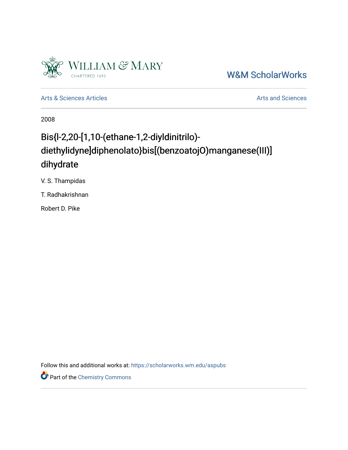

## [W&M ScholarWorks](https://scholarworks.wm.edu/)

[Arts & Sciences Articles](https://scholarworks.wm.edu/aspubs) **Articles** [Arts and Sciences](https://scholarworks.wm.edu/as) Articles Arts and Sciences Arts and Sciences

2008

# Bis{l-2,20-[1,10-(ethane-1,2-diyldinitrilo) diethylidyne]diphenolato}bis[(benzoatojO)manganese(III)] dihydrate

V. S. Thampidas

T. Radhakrishnan

Robert D. Pike

Follow this and additional works at: [https://scholarworks.wm.edu/aspubs](https://scholarworks.wm.edu/aspubs?utm_source=scholarworks.wm.edu%2Faspubs%2F1979&utm_medium=PDF&utm_campaign=PDFCoverPages) 

Part of the [Chemistry Commons](http://network.bepress.com/hgg/discipline/131?utm_source=scholarworks.wm.edu%2Faspubs%2F1979&utm_medium=PDF&utm_campaign=PDFCoverPages)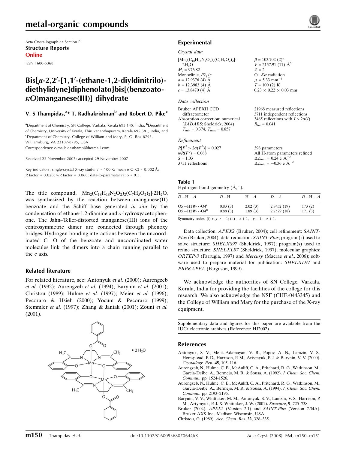## metal-organic compounds

Acta Crystallographica Section E Structure Reports Online

ISSN 1600-5368

## $Bis\{\mu-2,2'-[1,1'-(ethane-1,2-diyldinit)]$ diethylidyne]diphenolato}bis[(benzoatoj*O*)manganese(III)] dihydrate

### V. S Thampidas, $^{a_{\ast}}$  T. Radhakrishnan $^{\rm b}$  and Robert D. Pike $^{\rm c}$

<sup>a</sup>Department of Chemistry, SN College, Varkala, Kerala 695 145, India, <sup>b</sup>Department of Chemistry, University of Kerala, Thiruvananthapuram, Kerala 695 581, India, and <sup>c</sup>Department of Chemistry, College of William and Mary, P. O. Box 8795, Williamsburg, VA 23187-8795, USA

Correspondence e-mail: dasthampi@hotmail.com

Received 22 November 2007; accepted 29 November 2007

Key indicators: single-crystal X-ray study;  $T = 100$  K; mean  $\sigma$ (C–C) = 0.002 Å; R factor =  $0.026$ ; wR factor =  $0.068$ ; data-to-parameter ratio =  $9.3$ .

The title compound,  $[Mn_2(C_{18}H_{18}N_2O_2)_2(C_7H_5O_2)_2]$  2H<sub>2</sub>O, was synthesized by the reaction between manganese(II) benzoate and the Schiff base generated in situ by the condensation of ethane-1,2-diamine and  $o$ -hydroxyacetophenone. The Jahn–Teller-distorted manganese(III) ions of the centrosymmetric dimer are connected through phenoxy bridges. Hydrogen-bonding interactions between the uncoordinated  $C = 0$  of the benzoate and uncoordinated water molecules link the dimers into a chain running parallel to the c axis.

### Related literature

For related literature, see: Antonyuk et al. (2000); Aurengzeb et al. (1992); Aurengzeb et al. (1994); Barynin et al. (2001); Christou (1989); Hulme et al. (1997); Meier et al. (1996); Pecoraro & Hsieh (2000); Yocum & Pecoraro (1999); Stemmler et al. (1997); Zhang & Janiak (2001); Zouni et al. (2001).





### Experimental

#### Crystal data

| $[Mn_2(C_{18}H_{18}N_2O_2)_2(C_7H_5O_2)_2]$ . | $\beta = 103.702$ (2) <sup>o</sup> |
|-----------------------------------------------|------------------------------------|
| 2H <sub>2</sub> O                             | $V = 2157.91(11)$ $\AA^3$          |
| $M_r = 976.82$                                | $Z = 2$                            |
| Monoclinic, $P2_1/c$                          | $Cu$ K $\alpha$ radiation          |
| $a = 12.9376$ (4) Å                           | $\mu = 5.33$ mm <sup>-1</sup>      |
| $b = 12.3983$ (4) Å                           | $T = 100(2)$ K                     |
| $c = 13.8470(4)$ Å                            | $0.23 \times 0.22 \times 0.03$ mm  |
|                                               |                                    |

### Data collection

Bruker APEXII CCD diffractometer Absorption correction: numerical (SADABS; Sheldrick, 2004)  $T_{\text{min}} = 0.374, T_{\text{max}} = 0.857$ 

#### Refinement

| $R[F^2 > 2\sigma(F^2)] = 0.027$ | 398 parameters                                               |
|---------------------------------|--------------------------------------------------------------|
| $wR(F^2) = 0.068$               | All H-atom parameters refined                                |
| $S = 1.03$                      | $\Delta \rho_{\text{max}} = 0.24 \text{ e } \text{\AA}^{-3}$ |
| 3711 reflections                | $\Delta \rho_{\text{min}} = -0.36$ e $\AA^{-3}$              |

21968 measured reflections 3711 independent reflections 3465 reflections with  $I > 2\sigma(I)$ 

 $R_{\text{int}} = 0.041$ 

## Table 1

Hydrogen-bond geometry  $(\AA, \degree)$ .

| $D - H \cdots A$                              | $D-H$   | $H \cdot \cdot \cdot A$ | $D\cdots A$ | $D-H\cdots A$ |
|-----------------------------------------------|---------|-------------------------|-------------|---------------|
| $O5 - H1W \cdots O4$ <sup>1</sup>             | 0.83(3) | 2.02(3)                 | 2.8452(19)  | 173(2)        |
| $O5 - H2W \cdot \cdot \cdot O4$ <sup>ii</sup> | 0.88(3) | 1.89(3)                 | 2.7579 (18) | 171(3)        |

Symmetry codes: (i)  $x, y, z - 1$ ; (ii)  $-x + 1, -y + 1, -z + 1$ .

Data collection: APEX2 (Bruker, 2004); cell refinement: SAINT-Plus (Bruker, 2004); data reduction: SAINT-Plus; program(s) used to solve structure: SHELXS97 (Sheldrick, 1997); program(s) used to refine structure: SHELXL97 (Sheldrick, 1997); molecular graphics: ORTEP-3 (Farrugia, 1997) and Mercury (Macrae et al., 2006); software used to prepare material for publication: SHELXL97 and PRPKAPPA (Ferguson, 1999).

We acknowledge the authorities of SN College, Varkala, Kerala, India for providing the facilities of the college for this research. We also acknowledge the NSF (CHE-0443345) and the College of William and Mary for the purchase of the X-ray equipment.

Supplementary data and figures for this paper are available from the IUCr electronic archives (Reference: HJ2002).

#### References

- Antonyuk, S. V., Melik-Adamayan, V. R., Popov, A. N., Lamzin, V. S., Hemsptead, P. D., Harrison, P. M., Artymyuk, P. J. & Barynin, V. V. (2000). Crystallogr. Rep. 45, 105–116.
- Aurengzeb, N., Hulme, C. E., McAuliff, C. A., Pritchard, R. G., Watkinson, M., Garcia-Deibe, A., Bermejo, M. R. & Sousa, A. (1992). J. Chem. Soc. Chem. Commun. pp. 1524-1526.
- Aurengzeb, N., Hulme, C. E., McAuliff, C. A., Pritchard, R. G., Watkinson, M., Garcia-Deibe, A., Bermejo, M. R. & Sousa, A. (1994). J. Chem. Soc. Chem. Commun. pp. 2193–2195.
- Barynin, V. V., Whittaker, M. M., Antonyuk, S. V., Lamzin, V. S., Harrison, P. M., Artymyuk, P. J. & Whittaker, J. W. (2001). Structure, 9, 725–738.
- Bruker (2004). APEX2 (Version 2.1) and SAINT-Plus (Version 7.34A). Bruker AXS Inc., Madison Wisconsin, USA.

Christou, G. (1989). Acc. Chem. Res. 22, 328–335.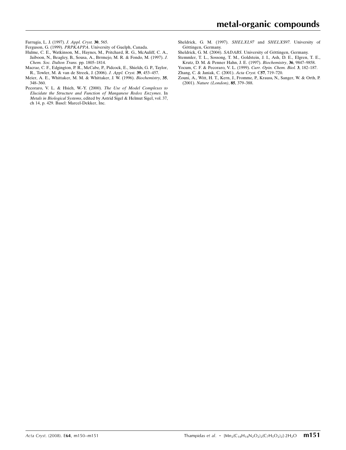Farrugia, L. J. (1997). J. Appl. Cryst. 30, 565.

Ferguson, G. (1999). PRPKAPPA. University of Guelph, Canada.

- Hulme, C. E., Watkinson, M., Haynes, M., Pritchard, R. G., McAuliff, C. A., Jaiboon, N., Beagley, B., Sousa, A., Brrmejo, M. R. & Fondo, M. (1997). J. Chem. Soc. Dalton Trans. pp. 1805–1814.
- Macrae, C. F., Edgington, P. R., McCabe, P., Pidcock, E., Shields, G. P., Taylor, R., Towler, M. & van de Streek, J. (2006). J. Appl. Cryst. 39, 453–457.
- Meier, A. E., Whittaker, M. M. & Whittaker, J. W. (1996). Biochemistry, 35, 348–360.
- Pecoraro, V. L. & Hsieh, W.-Y. (2000). The Use of Model Complexes to Elucidate the Structure and Function of Manganese Redox Enzymes. In Metals in Biological Systems, edited by Astrid Sigel & Helmut Sigel, vol. 37, ch 14, p. 429. Basel: Marcel-Dekker, Inc.
- Sheldrick, G. M. (1997). SHELXL97 and SHELXS97. University of Göttingen, Germany.
- Sheldrick, G. M. (2004). SADABS. University of Göttingen, Germany.
- Stemmler, T. L., Sossong, T. M., Goldstein, J. I., Ash, D. E., Elgren, T. E., Krutz, D. M. & Penner Hahn, J. E. (1997). Biochemistry, 36, 9847–9858.
- Yocum, C. F. & Pecoraro, V. L. (1999). Curr. Opin. Chem. Biol. 3, 182–187.
- Zhang, C. & Janiak, C. (2001). Acta Cryst. C57, 719–720.
- Zouni, A., Witt, H. T., Kern, J., Fromme, P., Krauss, N., Sanger, W. & Orth, P. (2001). Nature (London), 85, 379–388.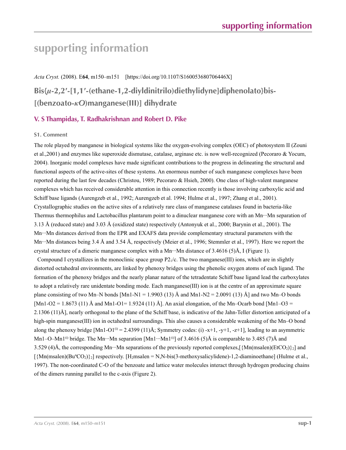# **supporting information**

*Acta Cryst.* (2008). E**64**, m150–m151 [https://doi.org/10.1107/S160053680706446X] **Bis{***µ***-2,2′-[1,1′-(ethane-1,2-diyldinitrilo)diethylidyne]diphenolato}bis- [(benzoato-***κO***)manganese(III)] dihydrate**

### **V. S Thampidas, T. Radhakrishnan and Robert D. Pike**

### **S1. Comment**

The role played by manganese in biological systems like the oxygen-evolving complex (OEC) of photosystem II (Zouni et al.,2001) and enzymes like superoxide dismutase, catalase, arginase etc. is now well-recognized (Pecoraro & Yocum, 2004). Inorganic model complexes have made significant contributions to the progress in delineating the structural and functional aspects of the active-sites of these systems. An enormous number of such manganese complexes have been reported during the last few decades (Christou, 1989; Pecoraro & Hsieh, 2000). One class of high-valent manganese complexes which has received considerable attention in this connection recently is those involving carboxylic acid and Schiff base ligands (Aurengzeb et al., 1992; Aurengzeb et al. 1994; Hulme et al., 1997; Zhang et al., 2001). Crystallographic studies on the active sites of a relatively rare class of manganese catalases found in bacteria-like Thermus thermophilus and Lactobacillus plantarum point to a dinuclear manganese core with an Mn···Mn separation of 3.13 Å (reduced state) and 3.03 Å (oxidized state) respectively (Antonyuk et al., 2000; Barynin et al., 2001). The Mn···Mn distances derived from the EPR and EXAFS data provide complementary structural parameters with the Mn…Mn distances being 3.4 Å and 3.54 Å, respectively (Meier et al., 1996; Stemmler et al., 1997). Here we report the crystal structure of a dimeric manganese complex with a Mn···Mn distance of 3.4616 (5)Å, I (Figure 1).

Compound I crystallizes in the monoclinic space group  $P_1/c$ . The two manganese(III) ions, which are in slightly distorted octahedral environments, are linked by phenoxy bridges using the phenolic oxygen atoms of each ligand. The formation of the phenoxy bridges and the nearly planar nature of the tetradentate Schiff base ligand lead the carboxylates to adopt a relatively rare unidentate bonding mode. Each manganese(III) ion is at the centre of an approximate square plane consisting of two Mn–N bonds [Mn1-N1 = 1.9903 (13) Å and Mn1-N2 = 2.0091 (13) Å] and two Mn–O bonds  $[Mn1-O2 = 1.8673 (11)$  Å and Mn1-O1= 1.9324 (11) Å]. An axial elongation, of the Mn–Ocarb bond  $[Mn1-O3 =$ 2.1306 (11)Å], nearly orthogonal to the plane of the Schiff base, is indicative of the Jahn-Teller distortion anticipated of a high-spin manganese(III) ion in octahedral surroundings. This also causes a considerable weakening of the Mn–O bond along the phenoxy bridge  $[Mn1-O1^{(i)} = 2.4399 (11)$ Å; Symmetry codes: (i) -x+1, -y+1, -z+1], leading to an asymmetric Mn1–O–Mn1<sup>(i)</sup> bridge. The Mn…Mn separation  $[Min1 \cdots Mn1^{(i)}]$  of 3.4616 (5)Å is comparable to 3.485 (7)Å and 3.529 (4)Å, the corresponding Mn···Mn separations of the previously reported complexes,  $\{Mn(msalen)(EtCO<sub>2</sub>)\}$  and  $[\{Mn(msalen)(Bu<sup>n</sup>CO<sub>2</sub>)\}_2]$  respectively. [H<sub>2</sub>msalen = N,N-bis(3-methoxysalicylidene)-1,2-diaminoethane] (Hulme et al., 1997). The non-coordinated C-O of the benzoate and lattice water molecules interact through hydrogen producing chains of the dimers running parallel to the c-axis (Figure 2).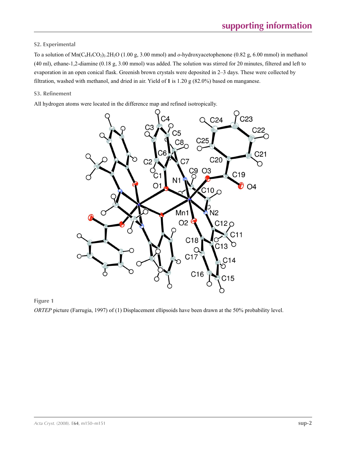### **S2. Experimental**

To a solution of  $\text{Mn}(C_6H_5CO_2)_2.2H_2O$  (1.00 g, 3.00 mmol) and *o*-hydroxyacetophenone (0.82 g, 6.00 mmol) in methanol (40 ml), ethane-1,2-diamine (0.18 g, 3.00 mmol) was added. The solution was stirred for 20 minutes, filtered and left to evaporation in an open conical flask. Greenish brown crystals were deposited in 2–3 days. These were collected by filtration, washed with methanol, and dried in air. Yield of **1** is 1.20 g (82.0%) based on manganese.

### **S3. Refinement**

All hydrogen atoms were located in the difference map and refined isotropically.





*ORTEP* picture (Farrugia, 1997) of (1) Displacement ellipsoids have been drawn at the 50% probability level.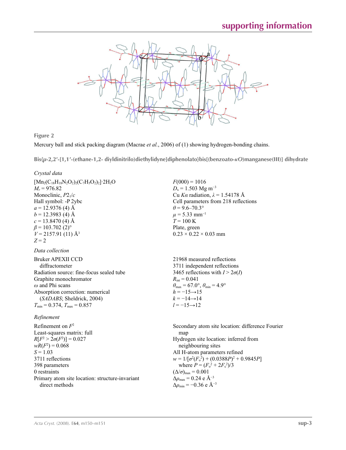

**Figure 2**

Mercury ball and stick packing diagram (Macrae *et al.*, 2006) of (1) showing hydrogen-bonding chains.

**Bis{***µ***-2,2′-[1,1′-(ethane-1,2- diyldinitrilo)diethylidyne]diphenolato}bis[(benzoato-***κO***)manganese(III)] dihydrate** 

 $F(000) = 1016$  $D_x = 1.503$  Mg m<sup>-3</sup>

 $\theta$  = 9.6–70.3°  $\mu$  = 5.33 mm<sup>-1</sup>  $T = 100 \text{ K}$ Plate, green

 $0.23 \times 0.22 \times 0.03$  mm

Cu *Kα* radiation, *λ* = 1.54178 Å Cell parameters from 218 reflections

### *Crystal data*

 $[Mn_2(C_{18}H_{18}N_2O_2)_2(C_7H_5O_2)_2]$ <sup>2</sup>H<sub>2</sub>O  $M_r = 976.82$ Monoclinic, *P*21/*c* Hall symbol: -P 2ybc  $a = 12.9376$  (4) Å  $b = 12.3983$  (4) Å  $c = 13.8470$  (4) Å  $\beta$  = 103.702 (2)<sup>o</sup>  $V = 2157.91(11)$  Å<sup>3</sup>  $Z = 2$ 

### *Data collection*

| 21968 measured reflections                                              |
|-------------------------------------------------------------------------|
| 3711 independent reflections                                            |
| 3465 reflections with $I > 2\sigma(I)$                                  |
| $R_{\text{int}} = 0.041$                                                |
| $\theta_{\text{max}} = 67.0^{\circ}, \theta_{\text{min}} = 4.9^{\circ}$ |
| $h = -15 \rightarrow 15$                                                |
| $k = -14 \rightarrow 14$                                                |
| $l = -15 \rightarrow 12$                                                |
|                                                                         |

### *Refinement*

Refinement on *F*<sup>2</sup> Least-squares matrix: full  $R[F^2 > 2\sigma(F^2)] = 0.027$  $wR(F^2) = 0.068$  $S = 1.03$ 3711 reflections 398 parameters 0 restraints Primary atom site location: structure-invariant direct methods

Secondary atom site location: difference Fourier map Hydrogen site location: inferred from neighbouring sites All H-atom parameters refined  $w = 1/[\sigma^2 (F_o^2) + (0.0388P)^2 + 0.9845P]$ where  $P = (F_o^2 + 2F_c^2)/3$  $(\Delta/\sigma)_{\text{max}} = 0.001$ Δ*ρ*max = 0.24 e Å−3 Δ*ρ*min = −0.36 e Å−3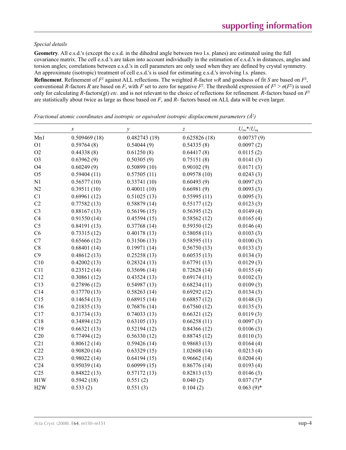### *Special details*

**Geometry**. All e.s.d.'s (except the e.s.d. in the dihedral angle between two l.s. planes) are estimated using the full covariance matrix. The cell e.s.d.'s are taken into account individually in the estimation of e.s.d.'s in distances, angles and torsion angles; correlations between e.s.d.'s in cell parameters are only used when they are defined by crystal symmetry. An approximate (isotropic) treatment of cell e.s.d.'s is used for estimating e.s.d.'s involving l.s. planes.

**Refinement**. Refinement of  $F^2$  against ALL reflections. The weighted R-factor wR and goodness of fit *S* are based on  $F^2$ , conventional *R*-factors *R* are based on *F*, with *F* set to zero for negative  $F^2$ . The threshold expression of  $F^2 > \sigma(F^2)$  is used only for calculating *R*-factors(gt) *etc*. and is not relevant to the choice of reflections for refinement. *R*-factors based on *F*<sup>2</sup> are statistically about twice as large as those based on *F*, and *R*- factors based on ALL data will be even larger.

*x*  $\qquad \qquad y$   $\qquad \qquad Z$   $U_{\text{iso}}*/U_{\text{eq}}$ Mn1 0.509469 (18) 0.482743 (19) 0.625826 (18) 0.00737 (9) O1 0.59764 (8) 0.54044 (9) 0.54335 (8) 0.0097 (2) O2  $0.44338(8)$   $0.61250(8)$   $0.64417(8)$   $0.0115(2)$ O3 0.63962 (9) 0.50305 (9) 0.75151 (8) 0.0141 (3) O4 0.60249 (9) 0.50899 (10) 0.90102 (9) 0.0171 (3) O5 0.59404 (11) 0.57505 (11) 0.09578 (10) 0.0243 (3) N1 0.56577 (10) 0.33741 (10) 0.60493 (9) 0.0097 (3) N2 0.39511 (10) 0.40011 (10) 0.66981 (9) 0.0093 (3) C1  $0.69961 (12)$   $0.51025 (13)$   $0.55995 (11)$   $0.0095 (3)$ C2  $0.77582 (13)$   $0.58879 (14)$   $0.55177 (12)$   $0.0123 (3)$ C3  $0.88167(13)$   $0.56196(15)$   $0.56395(12)$   $0.0149(4)$ C4 0.91550 (14) 0.45594 (15) 0.58562 (12) 0.0165 (4) C5 0.84191 (13) 0.37768 (14) 0.59350 (12) 0.0146 (4) C6 0.73315 (12) 0.40178 (13) 0.58058 (11) 0.0103 (3) C7 0.65666 (12) 0.31506 (13) 0.58595 (11) 0.0100 (3) C8 0.68401 (14) 0.19971 (14) 0.56750 (13) 0.0133 (3) C9 0.48612 (13) 0.25258 (13) 0.60535 (13) 0.0134 (3) C10 0.42002 (13) 0.28324 (13) 0.67791 (13) 0.0129 (3) C11 0.23512 (14) 0.35696 (14) 0.72628 (14) 0.0155 (4) C12 0.30861 (12) 0.43524 (13) 0.69174 (11) 0.0102 (3) C13 0.27896 (12) 0.54987 (13) 0.68234 (11) 0.0109 (3) C14 0.17770 (13) 0.58263 (14) 0.69292 (12) 0.0134 (3) C15 0.14654 (13) 0.68915 (14) 0.68857 (12) 0.0148 (3) C16 0.21835 (13) 0.76876 (14) 0.67560 (12) 0.0135 (3) C17 0.31734 (13) 0.74033 (13) 0.66321 (12) 0.0119 (3) C18 0.34894 (12) 0.63105 (13) 0.66258 (11) 0.0097 (3) C19 0.66321 (13) 0.52194 (12) 0.84366 (12) 0.0106 (3) C20 0.77494 (12) 0.56330 (12) 0.88745 (12) 0.0110 (3) C21 0.80612 (14) 0.59426 (14) 0.98683 (13) 0.0164 (4) C22 0.90820 (14) 0.63329 (15) 1.02608 (14) 0.0213 (4) C23 0.98022 (14) 0.64194 (15) 0.96662 (14) 0.0204 (4) C24 0.95039 (14) 0.60999 (15) 0.86776 (14) 0.0193 (4) C25 0.84822 (13) 0.57172 (13) 0.82813 (13) 0.0146 (3) H1W  $0.5942 (18)$   $0.551 (2)$   $0.040 (2)$   $0.037 (7)*$ H2W  $0.533(2)$   $0.551(3)$   $0.104(2)$   $0.063(9)*$ 

*Fractional atomic coordinates and isotropic or equivalent isotropic displacement parameters (Å2 )*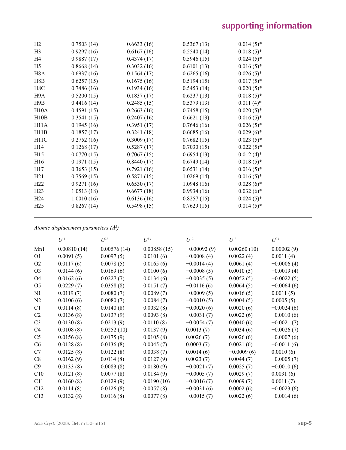| H <sub>2</sub>    | 0.7503(14) | 0.6633(16) | 0.5367(13) | $0.014(5)$ * |
|-------------------|------------|------------|------------|--------------|
| H <sub>3</sub>    | 0.9297(16) | 0.6167(16) | 0.5540(14) | $0.018(5)$ * |
| H4                | 0.9887(17) | 0.4374(17) | 0.5946(15) | $0.024(5)$ * |
| H <sub>5</sub>    | 0.8668(14) | 0.3032(16) | 0.6101(13) | $0.016(5)$ * |
| H <sub>8</sub> A  | 0.6937(16) | 0.1564(17) | 0.6265(16) | $0.026(5)$ * |
| H8B               | 0.6257(15) | 0.1675(16) | 0.5194(15) | $0.017(5)$ * |
| H8C               | 0.7486(16) | 0.1934(16) | 0.5453(14) | $0.020(5)$ * |
| H9A               | 0.5200(15) | 0.1837(17) | 0.6237(13) | $0.018(5)$ * |
| H9B               | 0.4416(14) | 0.2485(15) | 0.5379(13) | $0.011(4)$ * |
| H10A              | 0.4591(15) | 0.2663(16) | 0.7458(15) | $0.020(5)$ * |
| H10B              | 0.3541(15) | 0.2407(16) | 0.6621(13) | $0.016(5)$ * |
| H <sub>11</sub> A | 0.1945(16) | 0.3951(17) | 0.7646(16) | $0.026(5)$ * |
| H11B              | 0.1857(17) | 0.3241(18) | 0.6685(16) | $0.029(6)$ * |
| H <sub>11</sub> C | 0.2752(16) | 0.3009(17) | 0.7682(15) | $0.023(5)$ * |
| H14               | 0.1268(17) | 0.5287(17) | 0.7030(15) | $0.022(5)$ * |
| H15               | 0.0770(15) | 0.7067(15) | 0.6954(13) | $0.012(4)$ * |
| H <sub>16</sub>   | 0.1971(15) | 0.8440(17) | 0.6749(14) | $0.018(5)$ * |
| H17               | 0.3653(15) | 0.7921(16) | 0.6531(14) | $0.016(5)$ * |
| H21               | 0.7569(15) | 0.5871(15) | 1.0269(14) | $0.016(5)$ * |
| H22               | 0.9271(16) | 0.6530(17) | 1.0948(16) | $0.028(6)*$  |
| H23               | 1.0513(18) | 0.6677(18) | 0.9934(16) | $0.032(6)*$  |
| H <sub>24</sub>   | 1.0010(16) | 0.6136(16) | 0.8257(15) | $0.024(5)$ * |
| H <sub>25</sub>   | 0.8267(14) | 0.5498(15) | 0.7629(15) | $0.014(5)$ * |
|                   |            |            |            |              |

*Atomic displacement parameters (Å2 )*

|                | $U^{11}$    | $U^{22}$    | $U^{33}$    | $U^{12}$      | $U^{13}$     | $U^{23}$     |
|----------------|-------------|-------------|-------------|---------------|--------------|--------------|
| Mn1            | 0.00810(14) | 0.00576(14) | 0.00858(15) | $-0.00092(9)$ | 0.00260(10)  | 0.00002(9)   |
| O <sub>1</sub> | 0.0091(5)   | 0.0097(5)   | 0.0101(6)   | $-0.0008(4)$  | 0.0022(4)    | 0.0011(4)    |
| O <sub>2</sub> | 0.0117(6)   | 0.0078(5)   | 0.0165(6)   | $-0.0014(4)$  | 0.0061(4)    | $-0.0006(4)$ |
| O <sub>3</sub> | 0.0144(6)   | 0.0169(6)   | 0.0100(6)   | $-0.0008(5)$  | 0.0010(5)    | $-0.0019(4)$ |
| O <sub>4</sub> | 0.0162(6)   | 0.0227(7)   | 0.0134(6)   | $-0.0035(5)$  | 0.0052(5)    | $-0.0022(5)$ |
| O <sub>5</sub> | 0.0229(7)   | 0.0358(8)   | 0.0151(7)   | $-0.0116(6)$  | 0.0064(5)    | $-0.0064(6)$ |
| N <sub>1</sub> | 0.0119(7)   | 0.0080(7)   | 0.0089(7)   | $-0.0009(5)$  | 0.0016(5)    | 0.0011(5)    |
| N <sub>2</sub> | 0.0106(6)   | 0.0080(7)   | 0.0084(7)   | $-0.0010(5)$  | 0.0004(5)    | 0.0005(5)    |
| C1             | 0.0114(8)   | 0.0140(8)   | 0.0032(8)   | $-0.0020(6)$  | 0.0020(6)    | $-0.0024(6)$ |
| C <sub>2</sub> | 0.0136(8)   | 0.0137(9)   | 0.0093(8)   | $-0.0031(7)$  | 0.0022(6)    | $-0.0010(6)$ |
| C <sub>3</sub> | 0.0130(8)   | 0.0213(9)   | 0.0110(8)   | $-0.0054(7)$  | 0.0040(6)    | $-0.0021(7)$ |
| C <sub>4</sub> | 0.0108(8)   | 0.0252(10)  | 0.0137(9)   | 0.0013(7)     | 0.0034(6)    | $-0.0026(7)$ |
| C <sub>5</sub> | 0.0156(8)   | 0.0175(9)   | 0.0105(8)   | 0.0026(7)     | 0.0026(6)    | $-0.0007(6)$ |
| C <sub>6</sub> | 0.0128(8)   | 0.0136(8)   | 0.0045(7)   | 0.0003(7)     | 0.0021(6)    | $-0.0011(6)$ |
| C7             | 0.0125(8)   | 0.0122(8)   | 0.0038(7)   | 0.0014(6)     | $-0.0009(6)$ | 0.0010(6)    |
| C8             | 0.0162(9)   | 0.0114(8)   | 0.0127(9)   | 0.0023(7)     | 0.0044(7)    | $-0.0005(7)$ |
| C9             | 0.0133(8)   | 0.0083(8)   | 0.0180(9)   | $-0.0021(7)$  | 0.0025(7)    | $-0.0010(6)$ |
| C10            | 0.0121(8)   | 0.0077(8)   | 0.0184(9)   | $-0.0005(7)$  | 0.0029(7)    | 0.0031(6)    |
| C11            | 0.0160(8)   | 0.0129(9)   | 0.0190(10)  | $-0.0016(7)$  | 0.0069(7)    | 0.0011(7)    |
| C12            | 0.0114(8)   | 0.0126(8)   | 0.0057(8)   | $-0.0031(6)$  | 0.0002(6)    | $-0.0023(6)$ |
| C13            | 0.0132(8)   | 0.0116(8)   | 0.0077(8)   | $-0.0015(7)$  | 0.0022(6)    | $-0.0014(6)$ |
|                |             |             |             |               |              |              |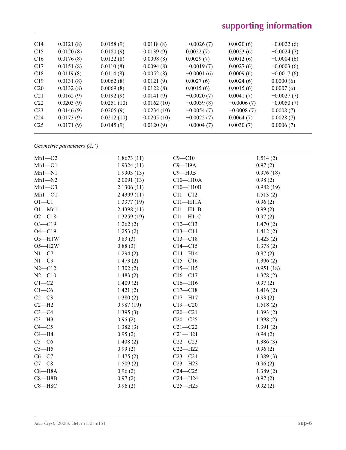# **supporting information**

| C <sub>14</sub> | 0.0121(8) | 0.0158(9)  | 0.0118(8)  | $-0.0026(7)$ | 0.0020(6)    | $-0.0022(6)$ |  |
|-----------------|-----------|------------|------------|--------------|--------------|--------------|--|
| C15             | 0.0120(8) | 0.0180(9)  | 0.0139(9)  | 0.0022(7)    | 0.0023(6)    | $-0.0024(7)$ |  |
| C16             | 0.0176(8) | 0.0122(8)  | 0.0098(8)  | 0.0029(7)    | 0.0012(6)    | $-0.0004(6)$ |  |
| C17             | 0.0151(8) | 0.0110(8)  | 0.0094(8)  | $-0.0019(7)$ | 0.0027(6)    | $-0.0003(6)$ |  |
| C18             | 0.0119(8) | 0.0114(8)  | 0.0052(8)  | $-0.0001(6)$ | 0.0009(6)    | $-0.0017(6)$ |  |
| C19             | 0.0131(8) | 0.0062(8)  | 0.0121(9)  | 0.0027(6)    | 0.0024(6)    | 0.0000(6)    |  |
| C <sub>20</sub> | 0.0132(8) | 0.0069(8)  | 0.0122(8)  | 0.0015(6)    | 0.0015(6)    | 0.0007(6)    |  |
| C <sub>21</sub> | 0.0162(9) | 0.0192(9)  | 0.0141(9)  | $-0.0020(7)$ | 0.0041(7)    | $-0.0027(7)$ |  |
| C22             | 0.0203(9) | 0.0251(10) | 0.0162(10) | $-0.0039(8)$ | $-0.0006(7)$ | $-0.0050(7)$ |  |
| C <sub>23</sub> | 0.0146(9) | 0.0205(9)  | 0.0234(10) | $-0.0054(7)$ | $-0.0008(7)$ | 0.0008(7)    |  |
| C <sub>24</sub> | 0.0173(9) | 0.0212(10) | 0.0205(10) | $-0.0025(7)$ | 0.0064(7)    | 0.0028(7)    |  |
| C <sub>25</sub> | 0.0171(9) | 0.0145(9)  | 0.0120(9)  | $-0.0004(7)$ | 0.0030(7)    | 0.0006(7)    |  |
|                 |           |            |            |              |              |              |  |

*Geometric parameters (Å, º)*

| $Mn1 - 02$              | 1.8673(11) | $C9 - C10$   | 1.514(2)  |
|-------------------------|------------|--------------|-----------|
| $Mn1 - 01$              | 1.9324(11) | $C9 - H9A$   | 0.97(2)   |
| $Mn1 - N1$              | 1.9903(13) | $C9 - H9B$   | 0.976(18) |
| $Mn1 - N2$              | 2.0091(13) | $C10 - H10A$ | 0.98(2)   |
| $Mn1 - O3$              | 2.1306(11) | $C10 - H10B$ | 0.982(19) |
| $Mn1 - O1$ <sup>i</sup> | 2.4399(11) | $C11 - C12$  | 1.513(2)  |
| $O1 - C1$               | 1.3377(19) | $C11 - H11A$ | 0.96(2)   |
| $O1-Mn1$ <sup>i</sup>   | 2.4398(11) | $C11 - H11B$ | 0.99(2)   |
| $O2 - C18$              | 1.3259(19) | $C11 - H11C$ | 0.97(2)   |
| $O3 - C19$              | 1.262(2)   | $C12 - C13$  | 1.470(2)  |
| $O4 - C19$              | 1.253(2)   | $C13-C14$    | 1.412(2)  |
| $O5 - H1W$              | 0.83(3)    | $C13-C18$    | 1.423(2)  |
| $O5 - H2W$              | 0.88(3)    | $C14 - C15$  | 1.378(2)  |
| $N1 - C7$               | 1.294(2)   | $C14 - H14$  | 0.97(2)   |
| $N1 - C9$               | 1.473(2)   | $C15 - C16$  | 1.396(2)  |
| $N2 - C12$              | 1.302(2)   | $C15 - H15$  | 0.951(18) |
| $N2 - C10$              | 1.483(2)   | $C16 - C17$  | 1.378(2)  |
| $C1-C2$                 | 1.409(2)   | $C16 - H16$  | 0.97(2)   |
| $C1-C6$                 | 1.421(2)   | $C17 - C18$  | 1.416(2)  |
| $C2-C3$                 | 1.380(2)   | $C17 - H17$  | 0.93(2)   |
| $C2-H2$                 | 0.987(19)  | $C19 - C20$  | 1.518(2)  |
| $C3-C4$                 | 1.395(3)   | $C20 - C21$  | 1.393(2)  |
| $C3-H3$                 | 0.95(2)    | $C20-C25$    | 1.398(2)  |
| $C4 - C5$               | 1.382(3)   | $C21 - C22$  | 1.391(2)  |
| $C4 - H4$               | 0.95(2)    | $C21 - H21$  | 0.94(2)   |
| $C5-C6$                 | 1.408(2)   | $C22-C23$    | 1.386(3)  |
| $C5 - H5$               | 0.99(2)    | $C22-H22$    | 0.96(2)   |
| $C6-C7$                 | 1.475(2)   | $C23-C24$    | 1.389(3)  |
| $C7-C8$                 | 1.509(2)   | $C23 - H23$  | 0.96(2)   |
| $C8 - H8A$              | 0.96(2)    | $C24 - C25$  | 1.389(2)  |
| $C8 - H8B$              | 0.97(2)    | $C24 - H24$  | 0.97(2)   |
| $C8 - H8C$              | 0.96(2)    | $C25 - H25$  | 0.92(2)   |
|                         |            |              |           |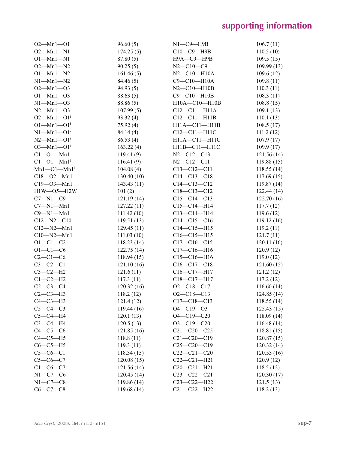| $O2 - Mn1 - O1$                  | 96.60(5)   | $N1$ — $C9$ — $H9B$ | 106.7(11)   |
|----------------------------------|------------|---------------------|-------------|
| $O2 - Mn1 - N1$                  | 174.25(5)  | C10-C9-H9B          | 110.5(10)   |
| $O1 - Mn1 - N1$                  | 87.80(5)   | Н9А-С9-Н9В          | 109.5(15)   |
| $O2 - Mn1 - N2$                  | 90.25(5)   | $N2 - C10 - C9$     | 109.99(13)  |
| $O1 - Mn1 - N2$                  | 161.46(5)  | $N2 - C10 - H10A$   | 109.6(12)   |
| $N1$ —Mn $1$ —N2                 | 84.46 (5)  | $C9 - C10 - H10A$   | 109.8(11)   |
| $O2 - Mn1 - O3$                  | 94.93(5)   | $N2 - C10 - H10B$   | 110.3(11)   |
| $O1 - Mn1 - O3$                  | 88.63(5)   | $C9 - C10 - H10B$   | 108.3(11)   |
| $N1 - Mn1 - O3$                  | 88.86 (5)  | H10A-C10-H10B       | 108.8(15)   |
| $N2 - Mn1 - O3$                  | 107.99(5)  | $C12-C11-H11A$      | 109.1(13)   |
| $O2 - Mn1 - O1$ <sup>i</sup>     | 93.32 (4)  | $C12-C11-H11B$      | 110.1(13)   |
| $O1 - Mn1 - O1$ <sup>i</sup>     | 75.92(4)   | H11A-C11-H11B       | 108.5(17)   |
| $N1-Mn1-O1i$                     | 84.14 (4)  | $C12-C11-H11C$      | 111.2(12)   |
| $N2 - Mn1 - O1$ <sup>i</sup>     | 86.53(4)   | H11A-C11-H11C       | 107.9(17)   |
| $O3 - Mn1 - O1$ <sup>i</sup>     | 163.22(4)  | H11B-C11-H11C       | 109.9(17)   |
| $Cl - O1 - Mn1$                  | 119.41(9)  | $N2 - C12 - C13$    | 121.56(14)  |
| $Cl$ — $Ol$ — $Mn1$ <sup>i</sup> | 116.41(9)  | $N2 - C12 - C11$    | 119.88(15)  |
| $Mn1 - O1 - Mn1$ <sup>i</sup>    | 104.08(4)  | $C13 - C12 - C11$   | 118.55(14)  |
| $C18 - 02 - Mn1$                 | 130.40(10) | $C14 - C13 - C18$   | 117.69(15)  |
| $C19 - 03 - Mn1$                 | 143.43(11) | $C14 - C13 - C12$   | 119.87(14)  |
| $H1W - O5 - H2W$                 | 101(2)     | $C18 - C13 - C12$   | 122.44(14)  |
| $C7 - N1 - C9$                   | 121.19(14) | $C15 - C14 - C13$   | 122.70(16)  |
| $C7 - N1 - Mn1$                  | 127.22(11) | $C15-C14-H14$       | 117.7(12)   |
| $C9 - N1 - Mn1$                  | 111.42(10) | $C13-C14-H14$       | 119.6(12)   |
| $C12 - N2 - C10$                 | 119.51(13) | $C14 - C15 - C16$   | 119.12 (16) |
| $C12 - N2 - Mn1$                 | 129.45(11) | $C14 - C15 - H15$   | 119.2(11)   |
| $C10 - N2 - Mn1$                 | 111.03(10) | $C16-C15-H15$       | 121.7(11)   |
| $O1 - C1 - C2$                   | 118.23(14) | $C17-C16-C15$       | 120.11(16)  |
| $O1 - C1 - C6$                   | 122.75(14) | $C17 - C16 - H16$   | 120.9(12)   |
| $C2-C1-C6$                       | 118.94(15) | $C15-C16-H16$       | 119.0(12)   |
| $C3-C2-C1$                       | 121.10(16) | $C16-C17-C18$       | 121.60(15)  |
| $C3-C2-H2$                       | 121.6(11)  | C16-C17-H17         | 121.2(12)   |
| $C1-C2-H2$                       | 117.3(11)  | $C18-C17-H17$       | 117.2(12)   |
| $C2-C3-C4$                       | 120.32(16) | $O2 - C18 - C17$    | 116.60(14)  |
| $C2-C3-H3$                       | 118.2(12)  | $O2-C18-C13$        | 124.85(14)  |
| $C4-C3-H3$                       | 121.4(12)  | $C17 - C18 - C13$   | 118.55(14)  |
| $C5-C4-C3$                       | 119.44(16) | $O4 - C19 - O3$     | 125.43(15)  |
| $C5-C4-H4$                       | 120.1(13)  | $O4 - C19 - C20$    | 118.09(14)  |
| $C3-C4-H4$                       | 120.5(13)  | $O3 - C19 - C20$    | 116.48(14)  |
| $C4-C5-C6$                       | 121.85(16) | $C21 - C20 - C25$   | 118.81(15)  |
| $C4-C5-H5$                       | 118.8(11)  | $C21 - C20 - C19$   | 120.87(15)  |
| $C6-C5-H5$                       | 119.3(11)  | $C25-C20-C19$       | 120.32(14)  |
| $C5-C6-C1$                       | 118.34(15) | $C22-C21-C20$       | 120.53(16)  |
| $C5-C6-C7$                       | 120.08(15) | $C22-C21-H21$       | 120.9(12)   |
| $C1-C6-C7$                       | 121.56(14) | $C20 - C21 - H21$   | 118.5(12)   |
| $N1-C7-C6$                       | 120.45(14) | $C23 - C22 - C21$   | 120.30(17)  |
| $N1-C7-C8$                       | 119.86(14) | $C23 - C22 - H22$   | 121.5(13)   |
| $C6-C7-C8$                       | 119.68(14) | $C21 - C22 - H22$   | 118.2(13)   |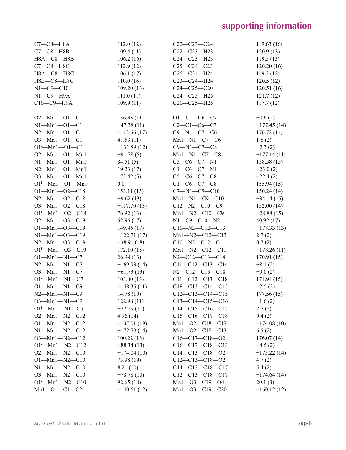| $C7-C8-H8A$                              | 112.0(12)     | $C22-C23-C24$          | 119.63(16)    |
|------------------------------------------|---------------|------------------------|---------------|
| $C7-C8-HBB$                              | 109.4(11)     | $C22-C23-H23$          | 120.9(13)     |
| H8A-C8-H8B                               | 106.2(16)     | $C24 - C23 - H23$      | 119.5(13)     |
| $C7-C8-H8C$                              | 112.9(12)     | $C25-C24-C23$          | 120.20(16)    |
| Н8А-С8-Н8С                               | 106.1(17)     | $C25-C24-H24$          | 119.3(12)     |
| Н8В-С8-Н8С                               | 110.0(16)     | C23-C24-H24            | 120.5(12)     |
| $N1 - C9 - C10$                          | 109.20(13)    | $C24-C25-C20$          | 120.51(16)    |
| $N1-C9-H9A$                              | 111.0(11)     | C24-C25-H25            | 121.7(12)     |
| С10-С9-Н9А                               | 109.9(11)     | $C20-C25-H25$          | 117.7(12)     |
|                                          |               |                        |               |
| $O2 - Mn1 - O1 - C1$                     | 136.33(11)    | $O1 - C1 - C6 - C7$    | $-0.6(2)$     |
| $N1 - Mn1 - O1 - C1$                     | $-47.38(11)$  | $C2 - C1 - C6 - C7$    | $-177.45(14)$ |
| $N2 - Mn1 - O1 - C1$                     | $-112.66(17)$ | $C9 - N1 - C7 - C6$    | 176.72(14)    |
| $O3 - Mn1 - O1 - C1$                     | 41.53(11)     | $Mn1 - N1 - C7 - C6$   | 1.8(2)        |
| $O1^{i}$ -Mn1- $O1$ -C1                  | $-131.89(12)$ | $C9 - N1 - C7 - C8$    | $-2.3(2)$     |
| $O2 - Mn1 - O1 - Mn1$ <sup>i</sup>       | $-91.78(5)$   | $Mn1 - N1 - C7 - C8$   | $-177.14(11)$ |
| $N1 - Mn1 - O1 - Mn1$ <sup>i</sup>       | 84.51(5)      | $C5-C6-C7-N1$          | 158.58(15)    |
| $N2 - Mn1 - O1 - Mn1$ <sup>i</sup>       |               |                        |               |
| $O3$ —Mn $1$ —O $1$ —Mn $1$ <sup>i</sup> | 19.23(17)     | $C1-C6-C7-N1$          | $-23.0(2)$    |
|                                          | 173.42(5)     | $C5-C6-C7-C8$          | $-22.4(2)$    |
| $O1^{i}$ -Mn $1$ - $O1$ -Mn $1^{i}$      | 0.0           | $C1 - C6 - C7 - C8$    | 155.94(15)    |
| $O1 - Mn1 - O2 - C18$                    | 153.11(13)    | $C7 - N1 - C9 - C10$   | 150.24(14)    |
| $N2 - Mn1 - O2 - C18$                    | $-9.62(13)$   | $Mn1 - N1 - C9 - C10$  | $-34.14(15)$  |
| $O3 - Mn1 - O2 - C18$                    | $-117.70(13)$ | $C12 - N2 - C10 - C9$  | 152.00(14)    |
| $O1^{i}$ -Mn1- $O2$ -C18                 | 76.92(13)     | $Mn1 - N2 - C10 - C9$  | $-28.88(15)$  |
| $O2 - Mn1 - O3 - C19$                    | 52.96 (17)    | $N1 - C9 - C10 - N2$   | 40.92(17)     |
| $O1 - Mn1 - O3 - C19$                    | 149.46 (17)   | $C10 - N2 - C12 - C13$ | $-178.33(13)$ |
| $N1 - Mn1 - O3 - C19$                    | $-122.71(17)$ | $Mn1 - N2 - C12 - C13$ | 2.7(2)        |
| $N2 - Mn1 - O3 - C19$                    | $-38.91(18)$  | $C10 - N2 - C12 - C11$ | 0.7(2)        |
| $O1^{i}$ -Mn1- $O3$ -C19                 | 172.10(15)    | $Mn1 - N2 - C12 - C11$ | $-178.26(11)$ |
| $O1 - Mn1 - N1 - C7$                     | 26.94(13)     | $N2-C12-C13-C14$       | 170.91(15)    |
| $N2 - Mn1 - N1 - C7$                     | $-169.93(14)$ | $C11-C12-C13-C14$      | $-8.1(2)$     |
| $O3 - Mn1 - N1 - C7$                     | $-61.73(13)$  | $N2 - C12 - C13 - C18$ | $-9.0(2)$     |
| $O1^i$ -Mn1-N1-C7                        | 103.00(13)    | $C11-C12-C13-C18$      | 171.94 (15)   |
| $O1 - Mn1 - N1 - C9$                     | $-148.35(11)$ | $C18-C13-C14-C15$      | $-2.5(2)$     |
| $N2 - Mn1 - N1 - C9$                     | 14.78(10)     | $C12-C13-C14-C15$      | 177.56(15)    |
| $O3$ —Mn1—N1—C9                          | 122.98(11)    | $C13-C14-C15-C16$      | $-1.6(2)$     |
| $O1^{\text{i}}$ —Mn $1$ —N $1$ —C $9$    | $-72.29(10)$  | $C14-C15-C16-C17$      | 2.7(2)        |
| $O2 - Mn1 - N2 - C12$                    | 4.96(14)      | $C15-C16-C17-C18$      | 0.4(2)        |
| $O1 - Mn1 - N2 - C12$                    | $-107.01(19)$ | $Mn1 - 02 - C18 - C17$ | $-174.08(10)$ |
| $N1 - Mn1 - N2 - C12$                    | $-172.79(14)$ | $Mn1 - 02 - C18 - C13$ | 6.5(2)        |
| $O3$ —Mn1—N2—C12                         | 100.22(13)    | $C16-C17-C18-02$       | 176.07(14)    |
| $O1^{i}$ —Mn $1$ —N $2$ —C12             | $-88.34(13)$  | $C16-C17-C18-C13$      | $-4.5(2)$     |
| $O2 - Mn1 - N2 - C10$                    | $-174.04(10)$ | $C14-C13-C18-O2$       | $-175.22(14)$ |
| $O1 - Mn1 - N2 - C10$                    | 73.98 (19)    | $C12-C13-C18-O2$       | 4.7(2)        |
| $N1 - Mn1 - N2 - C10$                    | 8.21(10)      | $C14-C13-C18-C17$      | 5.4(2)        |
| $O3$ —Mn1—N2—C10                         | $-78.78(10)$  | $C12-C13-C18-C17$      | $-174.64(14)$ |
| $O1^{\text{i}}$ —Mn $1$ —N $2$ —C10      | 92.65(10)     | $Mn1 - 03 - C19 - 04$  | 20.1(3)       |
| $Mn1 - 01 - C1 - C2$                     |               | $Mn1 - O3 - C19 - C20$ |               |
|                                          | $-140.61(12)$ |                        | $-160.12(12)$ |